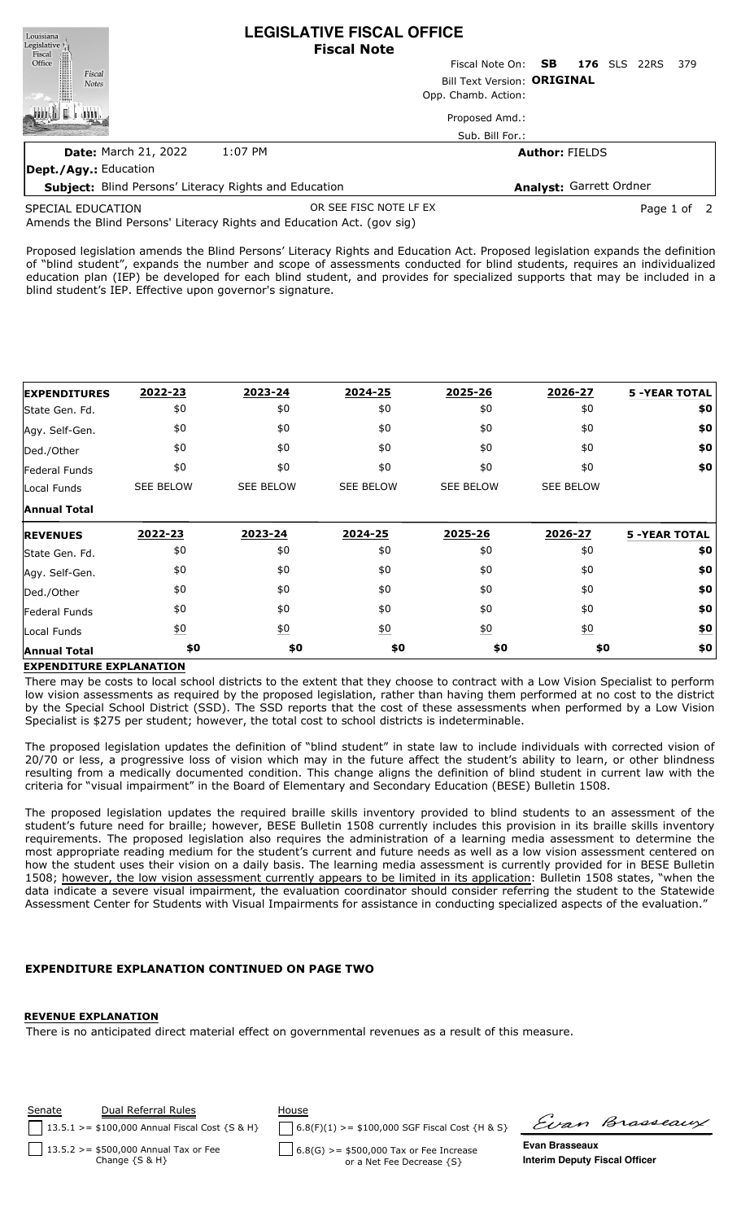| Louisiana<br>Legislative <sup>1</sup> |                                                              | <b>LEGISLATIVE FISCAL OFFICE</b><br><b>Fiscal Note</b> |                              |  |  |  |  |  |
|---------------------------------------|--------------------------------------------------------------|--------------------------------------------------------|------------------------------|--|--|--|--|--|
| Fiscal<br>Office                      |                                                              | Fiscal Note On: <b>SB</b>                              | <b>176</b> SLS 22RS<br>- 379 |  |  |  |  |  |
| Fiscal<br><b>Notes</b>                |                                                              | Bill Text Version: ORIGINAL                            |                              |  |  |  |  |  |
|                                       |                                                              | Opp. Chamb. Action:                                    |                              |  |  |  |  |  |
|                                       |                                                              | Proposed Amd.:                                         |                              |  |  |  |  |  |
|                                       |                                                              | Sub. Bill For.:                                        |                              |  |  |  |  |  |
| <b>Date: March 21, 2022</b>           | 1:07 PM                                                      |                                                        | <b>Author: FIELDS</b>        |  |  |  |  |  |
| Dept./Agy.: Education                 |                                                              |                                                        |                              |  |  |  |  |  |
|                                       | <b>Subject:</b> Blind Persons' Literacy Rights and Education |                                                        | Analyst: Garrett Ordner      |  |  |  |  |  |

SPECIAL EDUCATION

OR SEE FISC NOTE LF EX Page 1 of 2

Amends the Blind Persons' Literacy Rights and Education Act. (gov sig)

Proposed legislation amends the Blind Persons' Literacy Rights and Education Act. Proposed legislation expands the definition of "blind student", expands the number and scope of assessments conducted for blind students, requires an individualized education plan (IEP) be developed for each blind student, and provides for specialized supports that may be included in a blind student's IEP. Effective upon governor's signature.

| <b>EXPENDITURES</b> | 2022-23          | 2023-24           | 2024-25          | 2025-26           | 2026-27          | <b>5 -YEAR TOTAL</b> |
|---------------------|------------------|-------------------|------------------|-------------------|------------------|----------------------|
| State Gen. Fd.      | \$0              | \$0               | \$0              | \$0               | \$0              | \$0                  |
| Agy. Self-Gen.      | \$0              | \$0               | \$0              | \$0               | \$0              | \$0                  |
| Ded./Other          | \$0              | \$0               | \$0              | \$0               | \$0              | \$0                  |
| Federal Funds       | \$0              | \$0               | \$0              | \$0               | \$0              | \$0                  |
| Local Funds         | <b>SEE BELOW</b> | <b>SEE BELOW</b>  | <b>SEE BELOW</b> | <b>SEE BELOW</b>  | <b>SEE BELOW</b> |                      |
| <b>Annual Total</b> |                  |                   |                  |                   |                  |                      |
| <b>REVENUES</b>     | 2022-23          | 2023-24           | 2024-25          | 2025-26           | 2026-27          | <b>5 -YEAR TOTAL</b> |
| State Gen. Fd.      | \$0              | \$0               | \$0              | \$0               | \$0              | \$0                  |
| Agy. Self-Gen.      | \$0              | \$0               | \$0              | \$0               | \$0              | \$0                  |
| Ded./Other          | \$0              | \$0               | \$0              | \$0               | \$0              | \$0                  |
|                     |                  |                   |                  |                   |                  |                      |
| Federal Funds       | \$0              | \$0               | \$0              | \$0               | \$0              | \$0                  |
| Local Funds         | $\underline{50}$ | $\underline{\$0}$ | $\underline{50}$ | $\underline{\$0}$ | $\underline{50}$ | \$0                  |

## **EXPENDITURE EXPLANATION**

There may be costs to local school districts to the extent that they choose to contract with a Low Vision Specialist to perform low vision assessments as required by the proposed legislation, rather than having them performed at no cost to the district by the Special School District (SSD). The SSD reports that the cost of these assessments when performed by a Low Vision Specialist is \$275 per student; however, the total cost to school districts is indeterminable.

The proposed legislation updates the definition of "blind student" in state law to include individuals with corrected vision of 20/70 or less, a progressive loss of vision which may in the future affect the student's ability to learn, or other blindness resulting from a medically documented condition. This change aligns the definition of blind student in current law with the criteria for "visual impairment" in the Board of Elementary and Secondary Education (BESE) Bulletin 1508.

The proposed legislation updates the required braille skills inventory provided to blind students to an assessment of the student's future need for braille; however, BESE Bulletin 1508 currently includes this provision in its braille skills inventory requirements. The proposed legislation also requires the administration of a learning media assessment to determine the most appropriate reading medium for the student's current and future needs as well as a low vision assessment centered on how the student uses their vision on a daily basis. The learning media assessment is currently provided for in BESE Bulletin 1508; however, the low vision assessment currently appears to be limited in its application: Bulletin 1508 states, "when the data indicate a severe visual impairment, the evaluation coordinator should consider referring the student to the Statewide Assessment Center for Students with Visual Impairments for assistance in conducting specialized aspects of the evaluation."

## **EXPENDITURE EXPLANATION CONTINUED ON PAGE TWO**

## **REVENUE EXPLANATION**

There is no anticipated direct material effect on governmental revenues as a result of this measure.